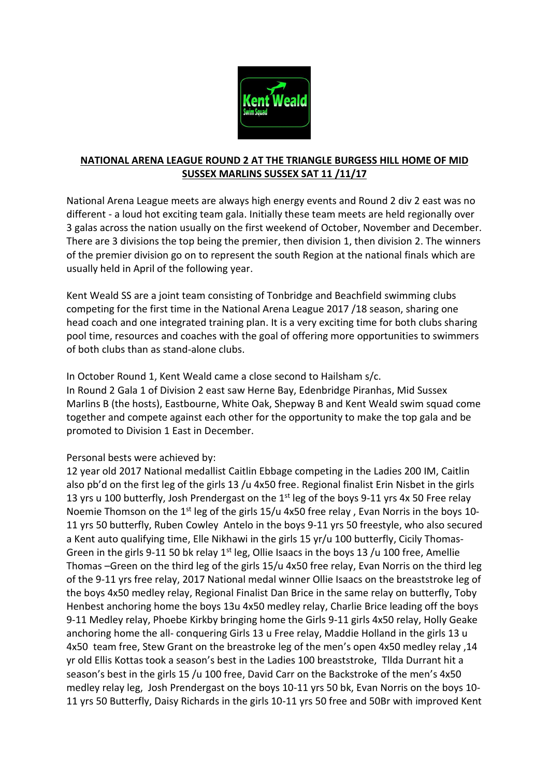

## **NATIONAL ARENA LEAGUE ROUND 2 AT THE TRIANGLE BURGESS HILL HOME OF MID SUSSEX MARLINS SUSSEX SAT 11 /11/17**

National Arena League meets are always high energy events and Round 2 div 2 east was no different - a loud hot exciting team gala. Initially these team meets are held regionally over 3 galas across the nation usually on the first weekend of October, November and December. There are 3 divisions the top being the premier, then division 1, then division 2. The winners of the premier division go on to represent the south Region at the national finals which are usually held in April of the following year.

Kent Weald SS are a joint team consisting of Tonbridge and Beachfield swimming clubs competing for the first time in the National Arena League 2017 /18 season, sharing one head coach and one integrated training plan. It is a very exciting time for both clubs sharing pool time, resources and coaches with the goal of offering more opportunities to swimmers of both clubs than as stand-alone clubs.

In October Round 1, Kent Weald came a close second to Hailsham s/c. In Round 2 Gala 1 of Division 2 east saw Herne Bay, Edenbridge Piranhas, Mid Sussex Marlins B (the hosts), Eastbourne, White Oak, Shepway B and Kent Weald swim squad come together and compete against each other for the opportunity to make the top gala and be promoted to Division 1 East in December.

## Personal bests were achieved by:

12 year old 2017 National medallist Caitlin Ebbage competing in the Ladies 200 IM, Caitlin also pb'd on the first leg of the girls 13 /u 4x50 free. Regional finalist Erin Nisbet in the girls 13 yrs u 100 butterfly, Josh Prendergast on the 1<sup>st</sup> leg of the boys 9-11 yrs 4x 50 Free relay Noemie Thomson on the 1<sup>st</sup> leg of the girls 15/u 4x50 free relay, Evan Norris in the boys 10-11 yrs 50 butterfly, Ruben Cowley Antelo in the boys 9-11 yrs 50 freestyle, who also secured a Kent auto qualifying time, Elle Nikhawi in the girls 15 yr/u 100 butterfly, Cicily Thomas-Green in the girls 9-11 50 bk relay  $1<sup>st</sup>$  leg, Ollie Isaacs in the boys 13 /u 100 free, Amellie Thomas –Green on the third leg of the girls 15/u 4x50 free relay, Evan Norris on the third leg of the 9-11 yrs free relay, 2017 National medal winner Ollie Isaacs on the breaststroke leg of the boys 4x50 medley relay, Regional Finalist Dan Brice in the same relay on butterfly, Toby Henbest anchoring home the boys 13u 4x50 medley relay, Charlie Brice leading off the boys 9-11 Medley relay, Phoebe Kirkby bringing home the Girls 9-11 girls 4x50 relay, Holly Geake anchoring home the all- conquering Girls 13 u Free relay, Maddie Holland in the girls 13 u 4x50 team free, Stew Grant on the breastroke leg of the men's open 4x50 medley relay ,14 yr old Ellis Kottas took a season's best in the Ladies 100 breaststroke, Tllda Durrant hit a season's best in the girls 15 /u 100 free, David Carr on the Backstroke of the men's 4x50 medley relay leg, Josh Prendergast on the boys 10-11 yrs 50 bk, Evan Norris on the boys 10- 11 yrs 50 Butterfly, Daisy Richards in the girls 10-11 yrs 50 free and 50Br with improved Kent